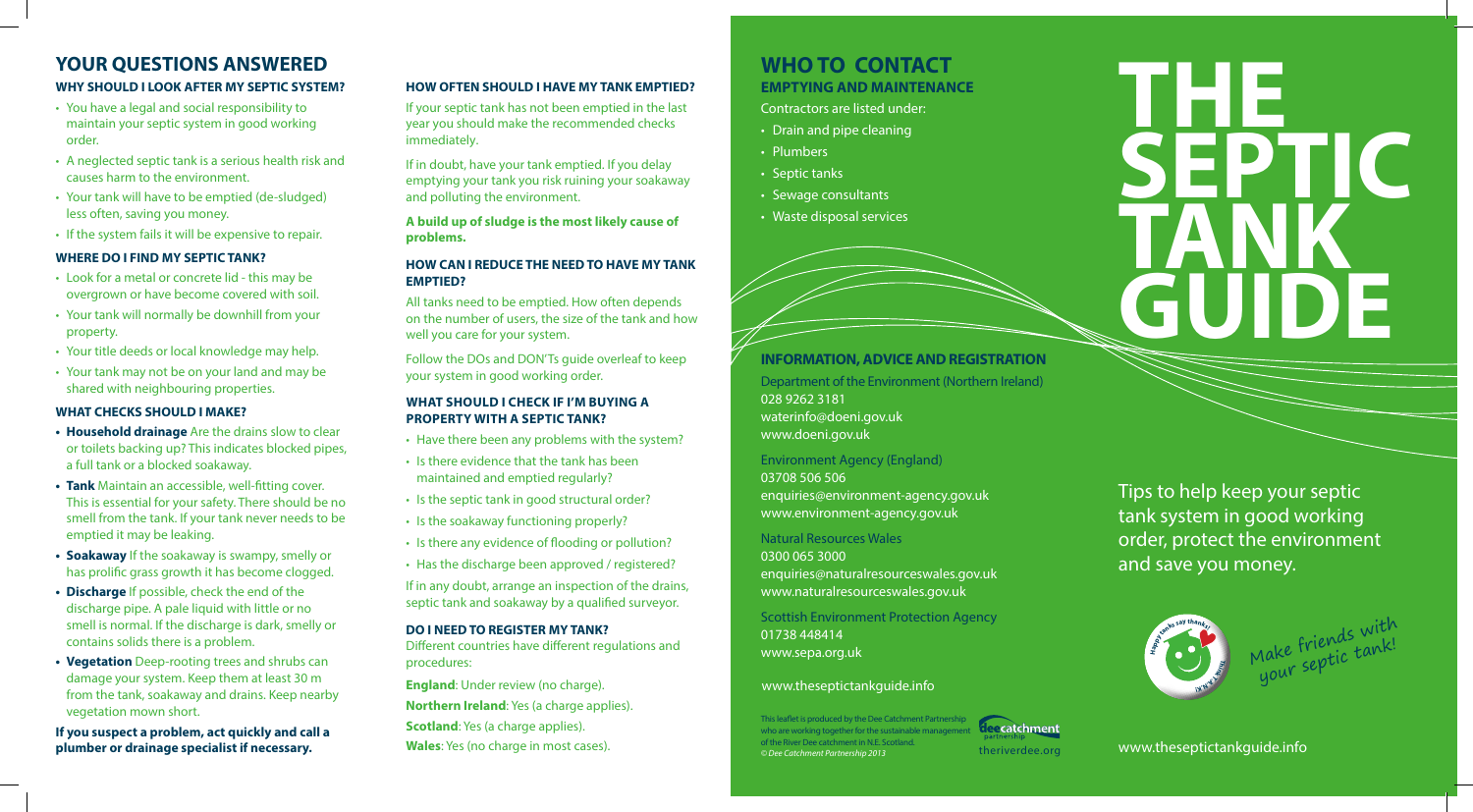### **INFORMATION, ADVICE AND REGISTRATION**

Department of the Environment (Northern Ireland) 028 9262 3181 waterinfo@doeni.gov.uk www.doeni.gov.uk

#### Environment Agency (England)

03708 506 506 enquiries@environment-agency.gov.uk www.environment-agency.gov.uk

#### Natural Resources Wales

0300 065 3000 enquiries@naturalresourceswales.gov.uk www.naturalresourceswales.gov.uk

Scottish Environment Protection Agency 01738 448414 www.sepa.org.uk

# **THE SEPTIC TANK GUIDE**

Tips to help keep your septic tank system in good working order, protect the environment and save you money.

#### Contractors are listed under:

## **EMPTYING AND MAINTENANCE WHO TO CONTACT**

- Drain and pipe cleaning
- Plumbers
- Septic tanks
- Sewage consultants
- Waste disposal services



Make friends with<br>Make friends with lake friends<br>your septic tank!

#### **WHY SHOULD I LOOK AFTER MY SEPTIC SYSTEM?**

- You have a legal and social responsibility to maintain your septic system in good working order.
- A neglected septic tank is a serious health risk and causes harm to the environment.
- Your tank will have to be emptied (de-sludged) less often, saving you money.
- If the system fails it will be expensive to repair.

#### **WHERE DO I FIND MY SEPTIC TANK?**

- Look for a metal or concrete lid this may be overgrown or have become covered with soil.
- Your tank will normally be downhill from your property.
- Your title deeds or local knowledge may help.
- Your tank may not be on your land and may be shared with neighbouring properties.

#### **WHAT CHECKS SHOULD I MAKE?**

**England**: Under review (no charge). **Northern Ireland**: Yes (a charge applies). **Scotland:** Yes (a charge applies).

his leaflet is produced by the Dee Catchment Partnership who are working together for the sustainable management of the River Dee catchment in N.E. Scotland. *© Dee Catchment Partnership 2013* **Wales**: Yes (no charge in most cases). theriverdee.org www.theseptictankguide.info



- **• Household drainage** Are the drains slow to clear or toilets backing up? This indicates blocked pipes, a full tank or a blocked soakaway.
- **• Tank** Maintain an accessible, well-fitting cover. This is essential for your safety. There should be no smell from the tank. If your tank never needs to be emptied it may be leaking.
- **• Soakaway** If the soakaway is swampy, smelly or has prolific grass growth it has become clogged.
- **• Discharge** If possible, check the end of the discharge pipe. A pale liquid with little or no smell is normal. If the discharge is dark, smelly or contains solids there is a problem.
- **• Vegetation** Deep-rooting trees and shrubs can damage your system. Keep them at least 30 m from the tank, soakaway and drains. Keep nearby vegetation mown short.

**If you suspect a problem, act quickly and call a plumber or drainage specialist if necessary.**

# **YOUR QUESTIONS ANSWERED**

#### **HOW OFTEN SHOULD I HAVE MY TANK EMPTIED?**

If your septic tank has not been emptied in the last year you should make the recommended checks immediately.

If in doubt, have your tank emptied. If you delay emptying your tank you risk ruining your soakaway and polluting the environment.

**A build up of sludge is the most likely cause of problems.**

#### **HOW CAN I REDUCE THE NEED TO HAVE MY TANK EMPTIED?**

All tanks need to be emptied. How often depends on the number of users, the size of the tank and how well you care for your system.

Follow the DOs and DON'Ts guide overleaf to keep your system in good working order.

#### **What Should I Check if I'm Buying a Property WITH a Septic Tank?**

- Have there been any problems with the system?
- Is there evidence that the tank has been maintained and emptied regularly?
- Is the septic tank in good structural order?
- Is the soakaway functioning properly?
- Is there any evidence of flooding or pollution?
- Has the discharge been approved / registered?

If in any doubt, arrange an inspection of the drains, septic tank and soakaway by a qualified surveyor.

#### **DO I NEED TO REGISTER MY TANK?**

Different countries have different regulations and procedures:

#### www.theseptictankguide.info